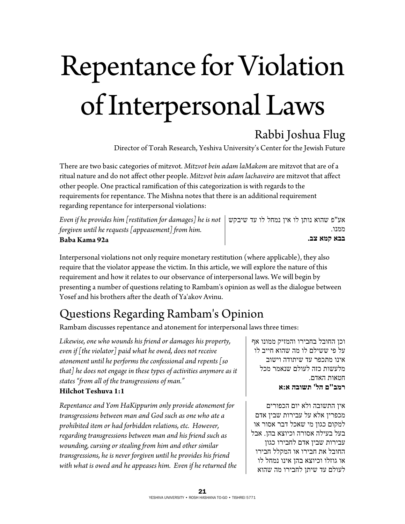# Repentance for Violation of Interpersonal Laws

### Rabbi Joshua Flug

Director of Torah Research, Yeshiva University's Center for the Jewish Future

There are two basic categories of mitzvot. *Mitzvot bein adam laMakom* are mitzvot that are of a ritual nature and do not affect other people. *Mitzvot bein adam lachaveiro* are mitzvot that affect other people. One practical ramification of this categorization is with regards to the requirements for repentance. The Mishna notes that there is an additional requirement regarding repentance for interpersonal violations:

*Even if he provides him [restitution for damages] he is not forgiven until he requests [appeasement] from him.*  **Baba Kama 92a** אע"פ שהוא נותן לו אין נמחל לו עד שיבקש ממנו. **בבא קמא צב.**

Interpersonal violations not only require monetary restitution (where applicable), they also require that the violator appease the victim. In this article, we will explore the nature of this requirement and how it relates to our observance of interpersonal laws. We will begin by presenting a number of questions relating to Rambam's opinion as well as the dialogue between Yosef and his brothers after the death of Ya'akov Avinu.

# Questions Regarding Rambam's Opinion

Rambam discusses repentance and atonement for interpersonal laws three times:

*Likewise, one who wounds his friend or damages his property, even if [the violator] paid what he owed, does not receive atonement until he performs the confessional and repents [so that] he does not engage in these types of activities anymore as it states "from all of the transgressions of man."*  **Hilchot Teshuva 1:1**

*Repentance and Yom HaKippurim only provide atonement for transgressions between man and God such as one who ate a prohibited item or had forbidden relations, etc. However, regarding transgressions between man and his friend such as wounding, cursing or stealing from him and other similar transgressions, he is never forgiven until he provides his friend with what is owed and he appeases him. Even if he returned the*  וכן החובל בחבירו והמזיק ממונו אף על פי ששילם לו מה שהוא חייב לו אינו מתכפר עד שיתודה וישוב מלעשות כזה לעולם שנאמר מכל חטאות האדם. **רמב"ם הל' תשובה א:א**

אין התשובה ולא יום הכפורים מכפרין אלא על עבירות שבין אדם למקום כגון מי שאכל דבר אסור או בעל בעילה אסורה וכיוצא בהן. אבל עבירות שבין אדם לחבירו כגון החובל את חבירו או המקלל חבירו או גוזלו וכיוצא בהן אינו נמחל לו לעולם עד שיתן לחבירו מה שהוא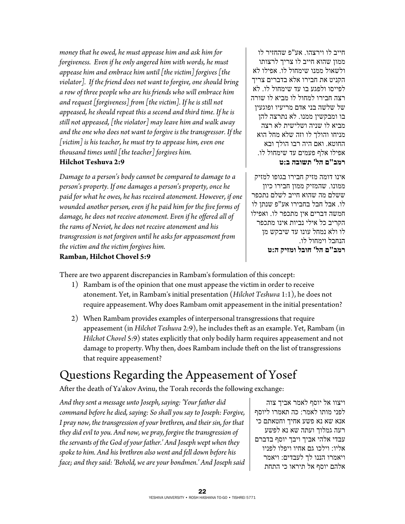*money that he owed, he must appease him and ask him for forgiveness. Even if he only angered him with words, he must appease him and embrace him until [the victim] forgives [the violator]. If the friend does not want to forgive, one should bring a row of three people who are his friends who will embrace him and request [forgiveness] from [the victim]. If he is still not appeased, he should repeat this a second and third time. If he is still not appeased, [the violator] may leave him and walk away and the one who does not want to forgive is the transgressor. If the [victim] is his teacher, he must try to appease him, even one thousand times until [the teacher] forgives him.* 

#### **Hilchot Teshuva 2:9**

*Damage to a person's body cannot be compared to damage to a person's property. If one damages a person's property, once he paid for what he owes, he has received atonement. However, if one wounded another person, even if he paid him for the five forms of damage, he does not receive atonement. Even if he offered all of the rams of Neviot, he does not receive atonement and his transgression is not forgiven until he asks for appeasement from the victim and the victim forgives him.* 

חייב לו וירצהו. אע"פ שהחזיר לו ממון שהוא חייב לו צריך לרצותו ולשאול ממנו שימחול לו. אפילו לא הקניט את חבירו אלא בדברים צריך לפייסו ולפגע בו עד שימחול לו. לא רצה חבירו למחול לו מביא לו שורה של שלשה בני אדם מריעיו ופוגעין בו ומבקשין ממנו. לא נתרצה להן מביא לו שניה ושלישית לא רצה מניחו והולך לו וזה שלא מחל הוא החוטא. ואם היה רבו הולך ובא אפילו אלף פעמים עד שימחול לו. **רמב"ם הל' תשובה ב:ט**

אינו דומה מזיק חבירו בגופו למזיק ממונו. שהמזיק ממון חבירו כיון ששלם מה שהוא חייב לשלם נתכפר לו. אבל חבל בחבירו אע"פ שנתן לו חמשה דברים אין מתכפר לו. ואפילו הקריב כל אילי נביות אינו מתכפר לו ולא נמחל עונו עד שיבקש מן הנחבל וימחול לו. **רמב"ם הל' חובל ומזיק ה:ט**

#### **Ramban, Hilchot Chovel 5:9**

There are two apparent discrepancies in Rambam's formulation of this concept:

- 1) Rambam is of the opinion that one must appease the victim in order to receive atonement. Yet, in Rambam's initial presentation (*Hilchot Teshuva* 1:1), he does not require appeasement. Why does Rambam omit appeasement in the initial presentation?
- 2) When Rambam provides examples of interpersonal transgressions that require appeasement (in *Hilchot Teshuva* 2:9), he includes theft as an example. Yet, Rambam (in *Hilchot Chovel* 5:9) states explicitly that only bodily harm requires appeasement and not damage to property. Why then, does Rambam include theft on the list of transgressions that require appeasement?

# Questions Regarding the Appeasement of Yosef

After the death of Ya'akov Avinu, the Torah records the following exchange:

*And they sent a message unto Joseph, saying: 'Your father did command before he died, saying: So shall you say to Joseph: Forgive, I pray now, the transgression of your brethren, and their sin, for that they did evil to you. And now, we pray, forgive the transgression of the servants of the God of your father.' And Joseph wept when they spoke to him. And his brethren also went and fell down before his face; and they said: 'Behold, we are your bondmen.' And Joseph said* 

ויצוו אל יוסף לאמר אביך צוה לפני מותו לאמר: כה תאמרו ליוסף אנא שא נא פשע אחיך וחטאתם כי רעה גמלוך ועתה שא נא לפשע עבדי אלהי אביך ויבך יוסף בדברם אליו: וילכו גם אחיו ויפלו לפניו ויאמרו הננו לך לעבדים: ויאמר אלהם יוסף אל תיראו כי התחת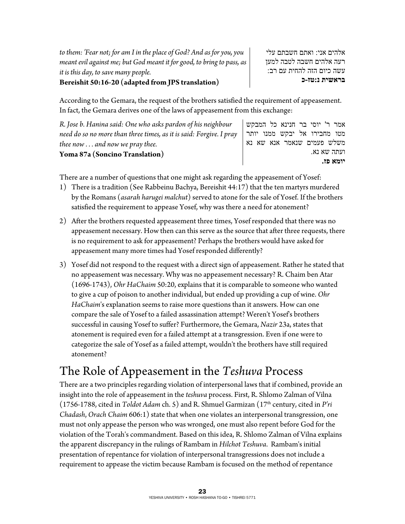*to them: 'Fear not; for am I in the place of God? And as for you, you meant evil against me; but God meant it for good, to bring to pass, as it is this day, to save many people.* 

**Bereishit 50:16-20 (adapted from JPS translation)**

אלהים אני: ואתם חשבתם עלי רעה אלהים חשבה לטבה למען עשה כיום הזה להחית עם רב: **בראשית נ:טז-כ**

According to the Gemara, the request of the brothers satisfied the requirement of appeasement. In fact, the Gemara derives one of the laws of appeasement from this exchange:

| R. Jose b. Hanina said: One who asks pardon of his neighbour        |  | אמר ר' יוסי בר חנינא כל המבקש |  |             |
|---------------------------------------------------------------------|--|-------------------------------|--|-------------|
| need do so no more than three times, as it is said: Forgive. I pray |  | מטו מחבירו אל יבקש ממנו יותר  |  |             |
| thee now $\dots$ and now we pray thee.                              |  | משלש פעמים שנאמר אנא שא נא    |  |             |
| Yoma 87a (Soncino Translation)                                      |  |                               |  | ועתה שא נא. |
|                                                                     |  |                               |  | יומא פז.    |

There are a number of questions that one might ask regarding the appeasement of Yosef:

- 1) There is a tradition (See Rabbeinu Bachya, Bereishit 44:17) that the ten martyrs murdered by the Romans (*asarah harugei malchut*) served to atone for the sale of Yosef. If the brothers satisfied the requirement to appease Yosef, why was there a need for atonement?
- 2) After the brothers requested appeasement three times, Yosef responded that there was no appeasement necessary. How then can this serve as the source that after three requests, there is no requirement to ask for appeasement? Perhaps the brothers would have asked for appeasement many more times had Yosef responded differently?
- 3) Yosef did not respond to the request with a direct sign of appeasement. Rather he stated that no appeasement was necessary. Why was no appeasement necessary? R. Chaim ben Atar (1696-1743), *Ohr HaChaim* 50:20, explains that it is comparable to someone who wanted to give a cup of poison to another individual, but ended up providing a cup of wine. *Ohr HaChaim*'s explanation seems to raise more questions than it answers. How can one compare the sale of Yosef to a failed assassination attempt? Weren't Yosef's brothers successful in causing Yosef to suffer? Furthermore, the Gemara, *Nazir* 23a, states that atonement is required even for a failed attempt at a transgression. Even if one were to categorize the sale of Yosef as a failed attempt, wouldn't the brothers have still required atonement?

## The Role of Appeasement in the *Teshuva* Process

There are a two principles regarding violation of interpersonal laws that if combined, provide an insight into the role of appeasement in the *teshuva* process. First, R. Shlomo Zalman of Vilna (1756-1788, cited in *Toldot Adam* ch. 5) and R. Shmuel Garmizan (17th century, cited in *P'ri Chadash*, *Orach Chaim* 606:1) state that when one violates an interpersonal transgression, one must not only appease the person who was wronged, one must also repent before God for the violation of the Torah's commandment. Based on this idea, R. Shlomo Zalman of Vilna explains the apparent discrepancy in the rulings of Rambam in *Hilchot Teshuva*. Rambam's initial presentation of repentance for violation of interpersonal transgressions does not include a requirement to appease the victim because Rambam is focused on the method of repentance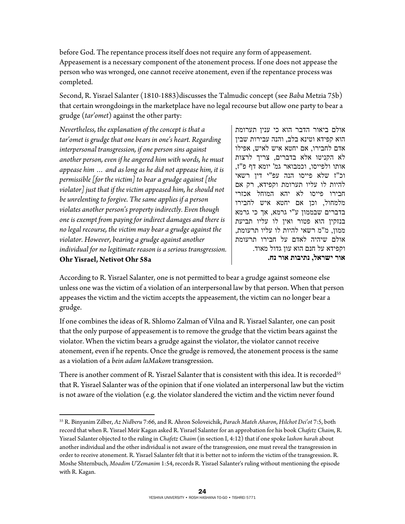before God. The repentance process itself does not require any form of appeasement. Appeasement is a necessary component of the atonement process. If one does not appease the person who was wronged, one cannot receive atonement, even if the repentance process was completed.

Second, R. Yisrael Salanter (1810-1883)discusses the Talmudic concept (see *Baba* Metzia 75b) that certain wrongdoings in the marketplace have no legal recourse but allow one party to bear a grudge (*tar'omet*) against the other party:

*Nevertheless, the explanation of the concept is that a tar'omet is grudge that one bears in one's heart. Regarding interpersonal transgression, if one person sins against another person, even if he angered him with words, he must appease him … and as long as he did not appease him, it is permissible [for the victim] to bear a grudge against [the violator] just that if the victim appeased him, he should not be unrelenting to forgive. The same applies if a person violates another person's property indirectly. Even though one is exempt from paying for indirect damages and there is no legal recourse, the victim may bear a grudge against the violator. However, bearing a grudge against another individual for no legitimate reason is a serious transgression.*  **Ohr Yisrael, Netivot Ohr 58a** 

1

אולם ביאור הדבר הוא כי ענין תערומת הוא קפידא וטינא בלב, והנה עבירות שבין אדם לחבירו, אם יחטא איש לאיש, אפילו לא הקניטו אלא בדברים, צריך לרצות אותו ולפייסו, וכמבואר גמ' יומא דף פ"ז, וכ"ז שלא פייסו הנה עפ"י דין רשאי להיות לו עליו תערומת וקפידא, רק אם חבירו פייסו לא יהא המוחל אכזרי מלמחול, וכן אם יחטא איש לחבירו בדברים שבממון ע"י גרמא, אך כי גרמא בנזקין הוא פטור ואין לו עליו תביעת ממון, מ"מ רשאי להיות לו עליו תרעומת, אולם שיהיה לאדם על חבירו תרעומת וקפידא על חנם הוא עון גדול מאוד. **אור ישראל, נתיבות אור נח.** 

According to R. Yisrael Salanter, one is not permitted to bear a grudge against someone else unless one was the victim of a violation of an interpersonal law by that person. When that person appeases the victim and the victim accepts the appeasement, the victim can no longer bear a grudge.

If one combines the ideas of R. Shlomo Zalman of Vilna and R. Yisrael Salanter, one can posit that the only purpose of appeasement is to remove the grudge that the victim bears against the violator. When the victim bears a grudge against the violator, the violator cannot receive atonement, even if he repents. Once the grudge is removed, the atonement process is the same as a violation of a *bein adam laMakom* transgression.

There is another comment of R. Yisrael Salanter that is consistent with this idea. It is recorded<sup>55</sup> that R. Yisrael Salanter was of the opinion that if one violated an interpersonal law but the victim is not aware of the violation (e.g. the violator slandered the victim and the victim never found

<sup>55</sup> R. Binyanim Zilber, *Az Nidberu* 7:66, and R. Ahron Soloveichik, *Parach Mateh Aharon*, *Hilchot Dei'ot* 7:5, both record that when R. Yisrael Meir Kagan asked R. Yisrael Salanter for an approbation for his book *Chafetz Chaim*, R. Yisrael Salanter objected to the ruling in *Chafetz Chaim* (in section I, 4:12) that if one spoke *lashon harah* about another individual and the other individual is not aware of the transgression, one must reveal the transgression in order to receive atonement. R. Yisrael Salanter felt that it is better not to inform the victim of the transgression. R. Moshe Shternbuch, *Moadim U'Zemanim* 1:54, records R. Yisrael Salanter's ruling without mentioning the episode with R. Kagan.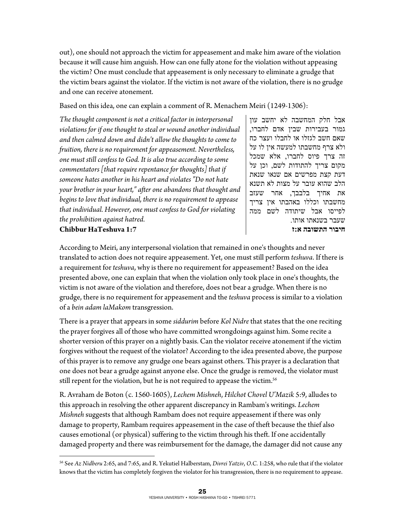out), one should not approach the victim for appeasement and make him aware of the violation because it will cause him anguish. How can one fully atone for the violation without appeasing the victim? One must conclude that appeasement is only necessary to eliminate a grudge that the victim bears against the violator. If the victim is not aware of the violation, there is no grudge and one can receive atonement.

Based on this idea, one can explain a comment of R. Menachem Meiri (1249-1306):

*The thought component is not a critical factor in interpersonal violations for if one thought to steal or wound another individual and then calmed down and didn't allow the thoughts to come to fruition, there is no requirement for appeasement. Nevertheless, one must still confess to God. It is also true according to some commentators [that require repentance for thoughts] that if someone hates another in his heart and violates "Do not hate your brother in your heart," after one abandons that thought and begins to love that individual, there is no requirement to appease that individual. However, one must confess to God for violating the prohibition against hatred.*  **Chibbur HaTeshuva 1:7** 

אבל חלק המחשבה לא יחשב עון גמור בעבירות שבין אדם לחברו, שאם חשב לגזלו או לחבלו ועצר כח ולא צרף מחשבתו למעשה אין לו על זה צרך פיוס לחברו, אלא שמכל מקום צריך להתודות לשם, וכן על דעת קצת מפרשים אם שנאו שנאת הלב שהוא עובר על מצות לא תשנא את אחיך בלבבך, אחר שעזב מחשבתו וכללו באהבתו אין צריך לפייסו אבל שיתודה לשם ממה שעבר בשנאתו אותו. **חיבור התשובה א:ז** 

According to Meiri, any interpersonal violation that remained in one's thoughts and never translated to action does not require appeasement. Yet, one must still perform *teshuva*. If there is a requirement for *teshuva*, why is there no requirement for appeasement? Based on the idea presented above, one can explain that when the violation only took place in one's thoughts, the victim is not aware of the violation and therefore, does not bear a grudge. When there is no grudge, there is no requirement for appeasement and the *teshuva* process is similar to a violation of a *bein adam laMakom* transgression.

There is a prayer that appears in some *siddurim* before *Kol Nidre* that states that the one reciting the prayer forgives all of those who have committed wrongdoings against him. Some recite a shorter version of this prayer on a nightly basis. Can the violator receive atonement if the victim forgives without the request of the violator? According to the idea presented above, the purpose of this prayer is to remove any grudge one bears against others. This prayer is a declaration that one does not bear a grudge against anyone else. Once the grudge is removed, the violator must still repent for the violation, but he is not required to appease the victim.<sup>56</sup>

R. Avraham de Boton (c. 1560-1605), *Lechem Mishneh*, *Hilchot Chovel U'Mazik* 5:9, alludes to this approach in resolving the other apparent discrepancy in Rambam's writings. *Lechem Mishneh* suggests that although Rambam does not require appeasement if there was only damage to property, Rambam requires appeasement in the case of theft because the thief also causes emotional (or physical) suffering to the victim through his theft. If one accidentally damaged property and there was reimbursement for the damage, the damager did not cause any

 $\overline{a}$ 

<sup>56</sup> See *Az Nidberu* 2:65, and 7:65, and R. Yekutiel Halberstam, *Divrei Yatziv*, *O*.*C*. 1:258, who rule that if the violator knows that the victim has completely forgiven the violator for his transgression, there is no requirement to appease.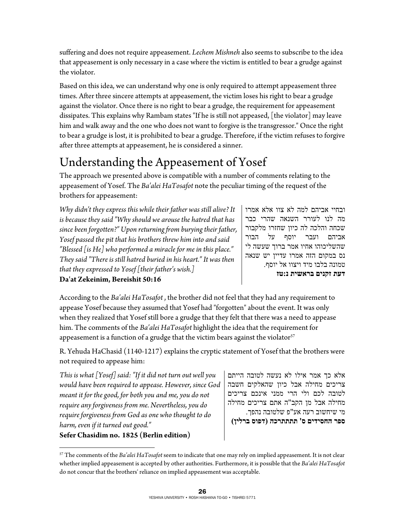suffering and does not require appeasement. *Lechem Mishneh* also seems to subscribe to the idea that appeasement is only necessary in a case where the victim is entitled to bear a grudge against the violator.

Based on this idea, we can understand why one is only required to attempt appeasement three times. After three sincere attempts at appeasement, the victim loses his right to bear a grudge against the violator. Once there is no right to bear a grudge, the requirement for appeasement dissipates. This explains why Rambam states "If he is still not appeased, [the violator] may leave him and walk away and the one who does not want to forgive is the transgressor." Once the right to bear a grudge is lost, it is prohibited to bear a grudge. Therefore, if the victim refuses to forgive after three attempts at appeasement, he is considered a sinner.

# Understanding the Appeasement of Yosef

The approach we presented above is compatible with a number of comments relating to the appeasement of Yosef. The *Ba'alei HaTosafot* note the peculiar timing of the request of the brothers for appeasement:

*Why didn't they express this while their father was still alive? It is because they said "Why should we arouse the hatred that has since been forgotten?" Upon returning from burying their father, Yosef passed the pit that his brothers threw him into and said "Blessed [is He] who performed a miracle for me in this place." They said "There is still hatred buried in his heart." It was then that they expressed to Yosef [their father's wish.]* 

ובחיי אביהם למה לא צוו אלא אמרו מה לנו לעורר השנאה שהרי כבר שכחה והלכה לה כיון שחזרו מלקבור אביהם ועבר יוסף על הבור שהשליכוהו אחיו אמר ברוך שעשה לי נס במקום הזה אמרו עדיין יש שנאה טמונה בלבו מיד ויצוו אל יוסף. **דעת זקנים בראשית נ:טז**

**Da'at Zekeinim, Bereishit 50:16** 

According to the *Ba'alei HaTosafot* , the brother did not feel that they had any requirement to appease Yosef because they assumed that Yosef had "forgotten" about the event. It was only when they realized that Yosef still bore a grudge that they felt that there was a need to appease him. The comments of the *Ba'alei HaTosafot* highlight the idea that the requirement for appeasement is a function of a grudge that the victim bears against the violator $57$ 

R. Yehuda HaChasid (1140-1217) explains the cryptic statement of Yosef that the brothers were not required to appease him:

*This is what [Yosef] said: "If it did not turn out well you would have been required to appease. However, since God meant it for the good, for both you and me, you do not require any forgiveness from me. Nevertheless, you do require forgiveness from God as one who thought to do harm, even if it turned out good."* 

**Sefer Chasidim no. 1825 (Berlin edition)** 

 $\overline{a}$ 

אלא כך אמר אילו לא נעשה לטובה הייתם צריכים מחילה אבל כיון שהאלקים חשבה לטובה לכם ולי הרי ממני אינכם צריכים מחילה אבל מן הקב"ה אתם צריכים מחילה מי שיחשוב רעה אע"פ שלטובה נהפך. **ספר החסידים ס' תתתתרכה (דפוס ברלין)** 

<sup>57</sup> The comments of the *Ba'alei HaTosafot* seem to indicate that one may rely on implied appeasement. It is not clear whether implied appeasement is accepted by other authorities. Furthermore, it is possible that the *Ba'alei HaTosafot* do not concur that the brothers' reliance on implied appeasement was acceptable.